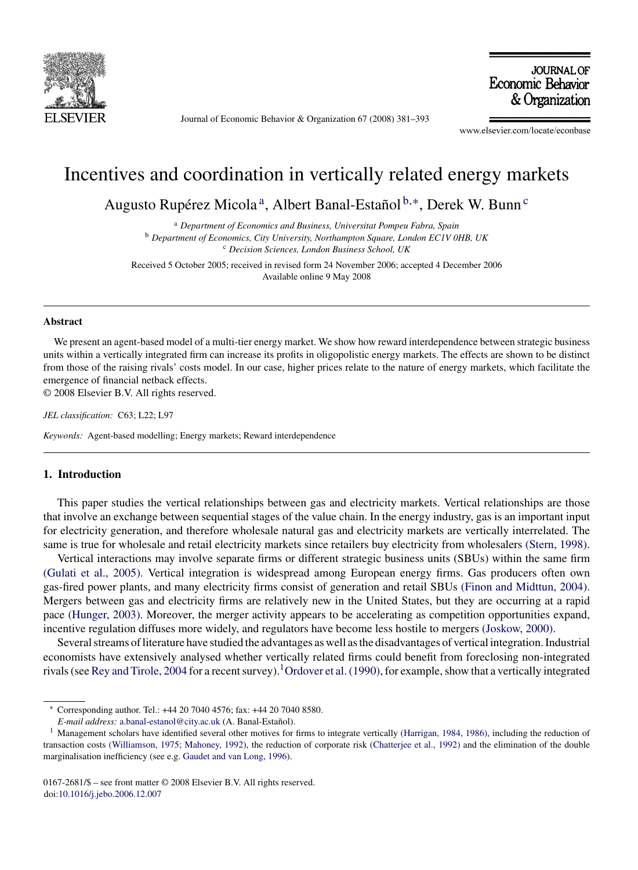

Journal of Economic Behavior & Organization 67 (2008) 381–393

**JOURNAL OF** Economic Behavior & Organization

www.elsevier.com/locate/econbase

## Incentives and coordination in vertically related energy markets

Augusto Rupérez Micola<sup>a</sup>, Albert Banal-Estañol<sup>b,∗</sup>, Derek W. Bunn<sup>c</sup>

<sup>a</sup> *Department of Economics and Business, Universitat Pompeu Fabra, Spain* <sup>b</sup> *Department of Economics, City University, Northampton Square, London EC1V 0HB, UK* <sup>c</sup> *Decision Sciences, London Business School, UK*

Received 5 October 2005; received in revised form 24 November 2006; accepted 4 December 2006 Available online 9 May 2008

## **Abstract**

We present an agent-based model of a multi-tier energy market. We show how reward interdependence between strategic business units within a vertically integrated firm can increase its profits in oligopolistic energy markets. The effects are shown to be distinct from those of the raising rivals' costs model. In our case, higher prices relate to the nature of energy markets, which facilitate the emergence of financial netback effects.

© 2008 Elsevier B.V. All rights reserved.

*JEL classification:* C63; L22; L97

*Keywords:* Agent-based modelling; Energy markets; Reward interdependence

## **1. Introduction**

This paper studies the vertical relationships between gas and electricity markets. Vertical relationships are those that involve an exchange between sequential stages of the value chain. In the energy industry, gas is an important input for electricity generation, and therefore wholesale natural gas and electricity markets are vertically interrelated. The same is true for wholesale and retail electricity markets since retailers buy electricity from wholesalers [\(Stern, 1998\).](#page--1-0)

Vertical interactions may involve separate firms or different strategic business units (SBUs) within the same firm [\(Gulati et al., 2005\).](#page--1-0) Vertical integration is widespread among European energy firms. Gas producers often own gas-fired power plants, and many electricity firms consist of generation and retail SBUs [\(Finon and Midttun, 2004\).](#page--1-0) Mergers between gas and electricity firms are relatively new in the United States, but they are occurring at a rapid pace [\(Hunger, 2003\). M](#page--1-0)oreover, the merger activity appears to be accelerating as competition opportunities expand, incentive regulation diffuses more widely, and regulators have become less hostile to mergers [\(Joskow, 2000\).](#page--1-0)

Several streams of literature have studied the advantages as well as the disadvantages of vertical integration. Industrial economists have extensively analysed whether vertically related firms could benefit from foreclosing non-integrated rivals (see [Rey and Tirole, 2004](#page--1-0) for a recent survey).<sup>1</sup>[Ordover et al. \(1990\), f](#page--1-0)or example, show that a vertically integrated

<sup>∗</sup> Corresponding author. Tel.: +44 20 7040 4576; fax: +44 20 7040 8580.

*E-mail address:* [a.banal-estanol@city.ac.uk](mailto:a.banal-estanol@city.ac.uk) (A. Banal-Estañol).

<sup>&</sup>lt;sup>1</sup> Management scholars have identified several other motives for firms to integrate vertically [\(Harrigan, 1984, 1986\), i](#page--1-0)ncluding the reduction of transaction costs [\(Williamson, 1975; Mahoney, 1992\), t](#page--1-0)he reduction of corporate risk [\(Chatterjee et al., 1992\)](#page--1-0) and the elimination of the double marginalisation inefficiency (see e.g. [Gaudet and van Long, 1996\).](#page--1-0)

<sup>0167-2681/\$ –</sup> see front matter © 2008 Elsevier B.V. All rights reserved. doi:[10.1016/j.jebo.2006.12.007](dx.doi.org/10.1016/j.jebo.2006.12.007)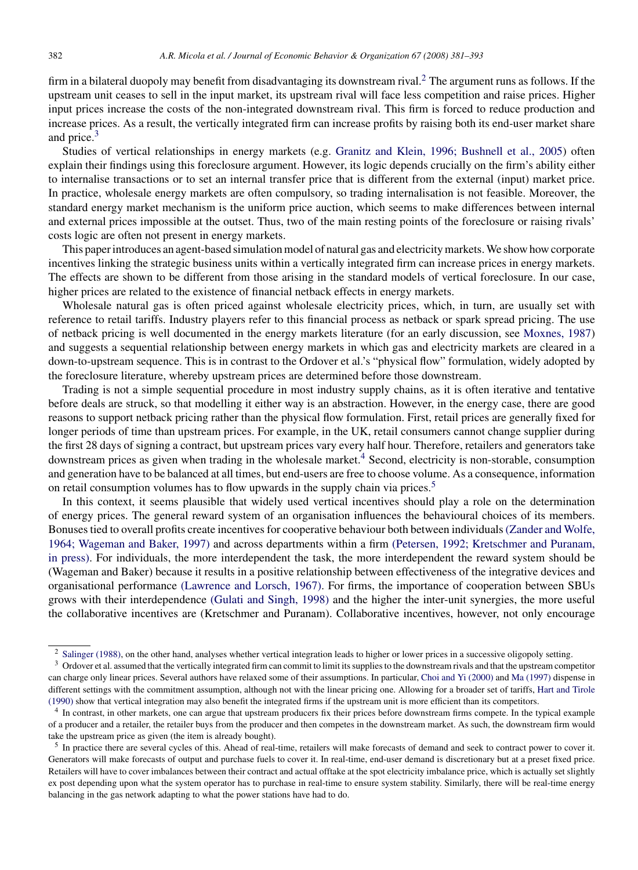firm in a bilateral duopoly may benefit from disadvantaging its downstream rival.<sup>2</sup> The argument runs as follows. If the upstream unit ceases to sell in the input market, its upstream rival will face less competition and raise prices. Higher input prices increase the costs of the non-integrated downstream rival. This firm is forced to reduce production and increase prices. As a result, the vertically integrated firm can increase profits by raising both its end-user market share and price.<sup>3</sup>

Studies of vertical relationships in energy markets (e.g. [Granitz and Klein, 1996; Bushnell et al., 2005\)](#page--1-0) often explain their findings using this foreclosure argument. However, its logic depends crucially on the firm's ability either to internalise transactions or to set an internal transfer price that is different from the external (input) market price. In practice, wholesale energy markets are often compulsory, so trading internalisation is not feasible. Moreover, the standard energy market mechanism is the uniform price auction, which seems to make differences between internal and external prices impossible at the outset. Thus, two of the main resting points of the foreclosure or raising rivals' costs logic are often not present in energy markets.

This paper introduces an agent-based simulation model of natural gas and electricity markets. We show how corporate incentives linking the strategic business units within a vertically integrated firm can increase prices in energy markets. The effects are shown to be different from those arising in the standard models of vertical foreclosure. In our case, higher prices are related to the existence of financial netback effects in energy markets.

Wholesale natural gas is often priced against wholesale electricity prices, which, in turn, are usually set with reference to retail tariffs. Industry players refer to this financial process as netback or spark spread pricing. The use of netback pricing is well documented in the energy markets literature (for an early discussion, see [Moxnes, 1987\)](#page--1-0) and suggests a sequential relationship between energy markets in which gas and electricity markets are cleared in a down-to-upstream sequence. This is in contrast to the Ordover et al.'s "physical flow" formulation, widely adopted by the foreclosure literature, whereby upstream prices are determined before those downstream.

Trading is not a simple sequential procedure in most industry supply chains, as it is often iterative and tentative before deals are struck, so that modelling it either way is an abstraction. However, in the energy case, there are good reasons to support netback pricing rather than the physical flow formulation. First, retail prices are generally fixed for longer periods of time than upstream prices. For example, in the UK, retail consumers cannot change supplier during the first 28 days of signing a contract, but upstream prices vary every half hour. Therefore, retailers and generators take downstream prices as given when trading in the wholesale market.<sup>4</sup> Second, electricity is non-storable, consumption and generation have to be balanced at all times, but end-users are free to choose volume. As a consequence, information on retail consumption volumes has to flow upwards in the supply chain via prices.<sup>5</sup>

In this context, it seems plausible that widely used vertical incentives should play a role on the determination of energy prices. The general reward system of an organisation influences the behavioural choices of its members. Bonuses tied to overall profits create incentives for cooperative behaviour both between individuals[\(Zander and Wolfe,](#page--1-0) [1964; Wageman and Baker, 1997\)](#page--1-0) and across departments within a firm [\(Petersen, 1992; Kretschmer and Puranam,](#page--1-0) [in press\).](#page--1-0) For individuals, the more interdependent the task, the more interdependent the reward system should be (Wageman and Baker) because it results in a positive relationship between effectiveness of the integrative devices and organisational performance [\(Lawrence and Lorsch, 1967\).](#page--1-0) For firms, the importance of cooperation between SBUs grows with their interdependence [\(Gulati and Singh, 1998\)](#page--1-0) and the higher the inter-unit synergies, the more useful the collaborative incentives are (Kretschmer and Puranam). Collaborative incentives, however, not only encourage

<sup>&</sup>lt;sup>2</sup> [Salinger \(1988\), o](#page--1-0)n the other hand, analyses whether vertical integration leads to higher or lower prices in a successive oligopoly setting.

<sup>&</sup>lt;sup>3</sup> Ordover et al. assumed that the vertically integrated firm can commit to limit its supplies to the downstream rivals and that the upstream competitor can charge only linear prices. Several authors have relaxed some of their assumptions. In particular, [Choi and Yi \(2000\)](#page--1-0) and [Ma \(1997\)](#page--1-0) dispense in different settings with the commitment assumption, although not with the linear pricing one. Allowing for a broader set of tariffs, [Hart and Tirole](#page--1-0) [\(1990\)](#page--1-0) show that vertical integration may also benefit the integrated firms if the upstream unit is more efficient than its competitors.

<sup>4</sup> In contrast, in other markets, one can argue that upstream producers fix their prices before downstream firms compete. In the typical example of a producer and a retailer, the retailer buys from the producer and then competes in the downstream market. As such, the downstream firm would take the upstream price as given (the item is already bought).

<sup>5</sup> In practice there are several cycles of this. Ahead of real-time, retailers will make forecasts of demand and seek to contract power to cover it. Generators will make forecasts of output and purchase fuels to cover it. In real-time, end-user demand is discretionary but at a preset fixed price. Retailers will have to cover imbalances between their contract and actual offtake at the spot electricity imbalance price, which is actually set slightly ex post depending upon what the system operator has to purchase in real-time to ensure system stability. Similarly, there will be real-time energy balancing in the gas network adapting to what the power stations have had to do.